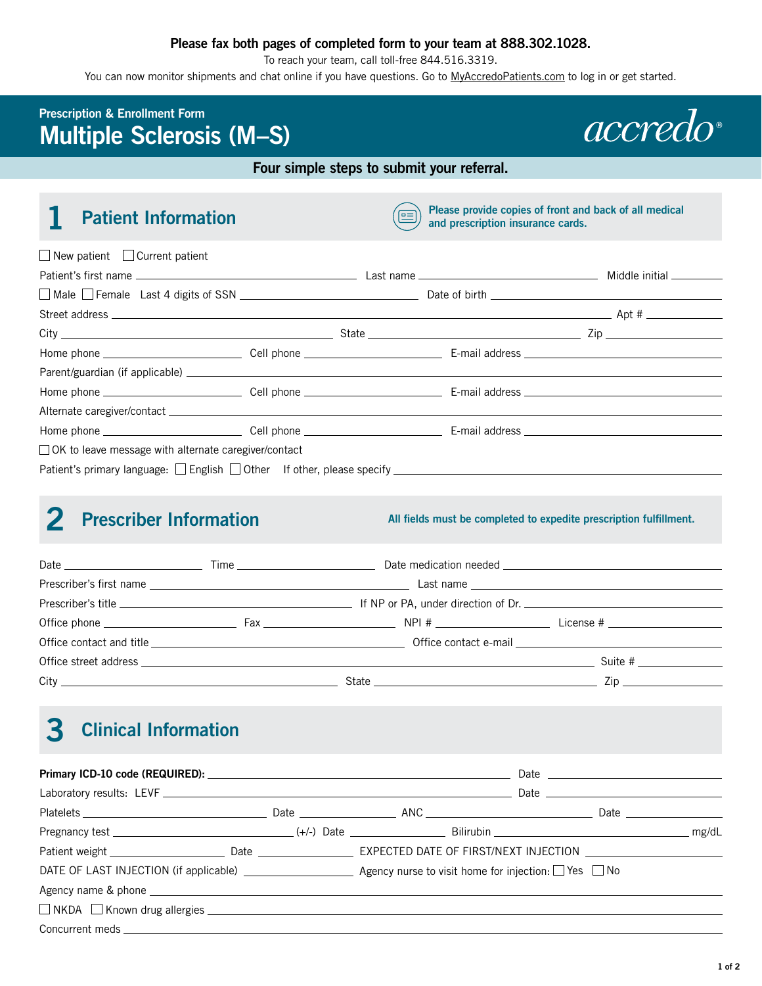### **Please fax both pages of completed form to your team at 888.302.1028.**

To reach your team, call toll-free 844.516.3319.

You can now monitor shipments and chat online if you have questions. Go to [MyAccredoPatients.com](https://MyAccredoPatients.com) to log in or get started.

## **Prescription & Enrollment Form Multiple Sclerosis (M–S)**



#### **Four simple steps to submit your referral.**

**1 Patient Information 1 Patient Information Please provide copies of front and back of all medical and prescription insurance cards.**

| $\Box$ New patient $\Box$ Current patient                                                           |  |  |
|-----------------------------------------------------------------------------------------------------|--|--|
|                                                                                                     |  |  |
|                                                                                                     |  |  |
|                                                                                                     |  |  |
| $City$ $\qquad \qquad \qquad$ State $\qquad \qquad \qquad$ State $\qquad \qquad$ Zip                |  |  |
|                                                                                                     |  |  |
|                                                                                                     |  |  |
|                                                                                                     |  |  |
|                                                                                                     |  |  |
|                                                                                                     |  |  |
| $\Box$ OK to leave message with alternate caregiver/contact                                         |  |  |
| Patient's primary language: □ English □ Other If other, please specify ____________________________ |  |  |
|                                                                                                     |  |  |

## **2 Prescriber Information All fields must be completed to expedite prescription fulfillment.**

|  | Office street address Suite # |  |  |
|--|-------------------------------|--|--|
|  |                               |  |  |

# **3 Clinical Information**